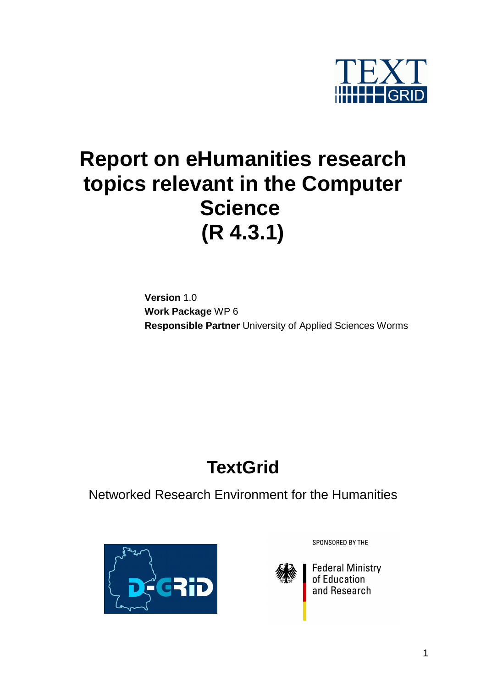

# **Report on eHumanities research topics relevant in the Computer Science (R 4.3.1)**

**Version** 1.0 **Work Package** WP 6 **Responsible Partner** University of Applied Sciences Worms

# **TextGrid**

Networked Research Environment for the Humanities



SPONSORED BY THE



Federal Ministry<br>of Education<br>and Research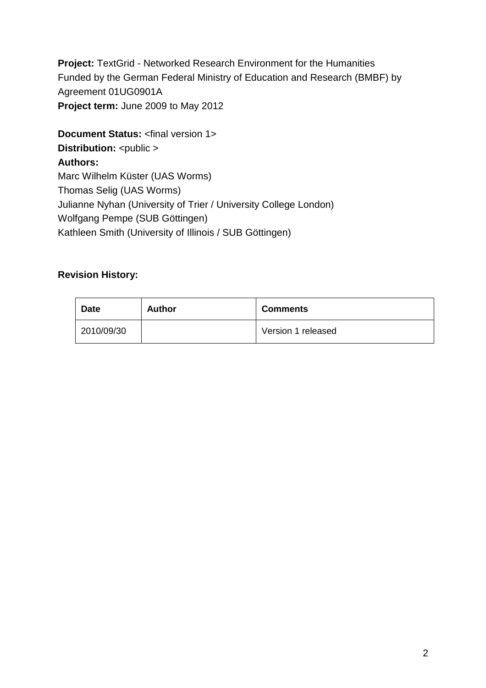**Project:** TextGrid - Networked Research Environment for the Humanities Funded by the German Federal Ministry of Education and Research (BMBF) by Agreement 01UG0901A **Project term:** June 2009 to May 2012

**Document Status:** <final version 1> **Distribution:** <public > **Authors:**  Marc Wilhelm Küster (UAS Worms) Thomas Selig (UAS Worms) Julianne Nyhan (University of Trier / University College London) Wolfgang Pempe (SUB Göttingen) Kathleen Smith (University of Illinois / SUB Göttingen)

#### **Revision History:**

| <b>Date</b> | Author | <b>Comments</b>    |
|-------------|--------|--------------------|
| 2010/09/30  |        | Version 1 released |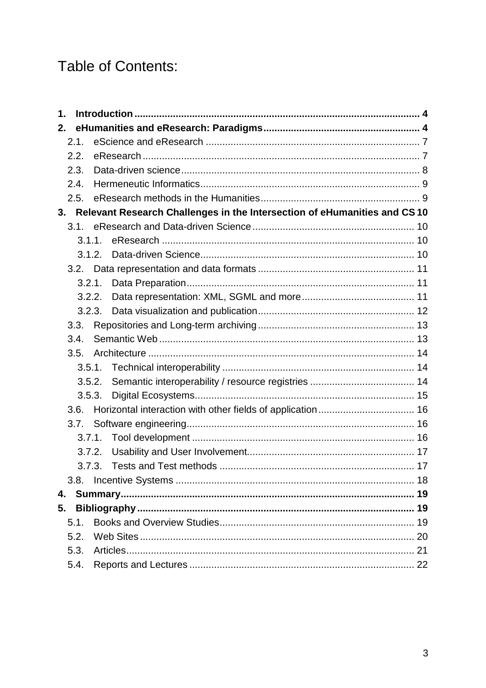# **Table of Contents:**

| 1. |        |        |                                                                             |  |
|----|--------|--------|-----------------------------------------------------------------------------|--|
| 2. |        |        |                                                                             |  |
|    | 2.1.   |        |                                                                             |  |
|    | 2.2.   |        |                                                                             |  |
|    | 2.3.   |        |                                                                             |  |
|    | 2.4.   |        |                                                                             |  |
|    | 2.5.   |        |                                                                             |  |
|    |        |        | 3. Relevant Research Challenges in the Intersection of eHumanities and CS10 |  |
|    | 3.1.   |        |                                                                             |  |
|    | 3.1.1. |        |                                                                             |  |
|    |        | 3.1.2. |                                                                             |  |
|    |        |        |                                                                             |  |
|    |        |        |                                                                             |  |
|    |        |        |                                                                             |  |
|    |        |        |                                                                             |  |
|    | 3.3.   |        |                                                                             |  |
|    | 3.4.   |        |                                                                             |  |
|    | 3.5.   |        |                                                                             |  |
|    | 3.5.1. |        |                                                                             |  |
|    |        | 3.5.2. |                                                                             |  |
|    | 3.5.3. |        |                                                                             |  |
|    | 3.6.   |        |                                                                             |  |
|    | 3.7.   |        |                                                                             |  |
|    | 3.7.1. |        |                                                                             |  |
|    | 3.7.2. |        |                                                                             |  |
|    | 3.7.3. |        |                                                                             |  |
|    | 3.8.   |        |                                                                             |  |
| 4. |        |        |                                                                             |  |
| 5. |        |        |                                                                             |  |
|    | 5.1.   |        |                                                                             |  |
|    | 5.2.   |        |                                                                             |  |
|    | 5.3.   |        |                                                                             |  |
|    | 5.4.   |        |                                                                             |  |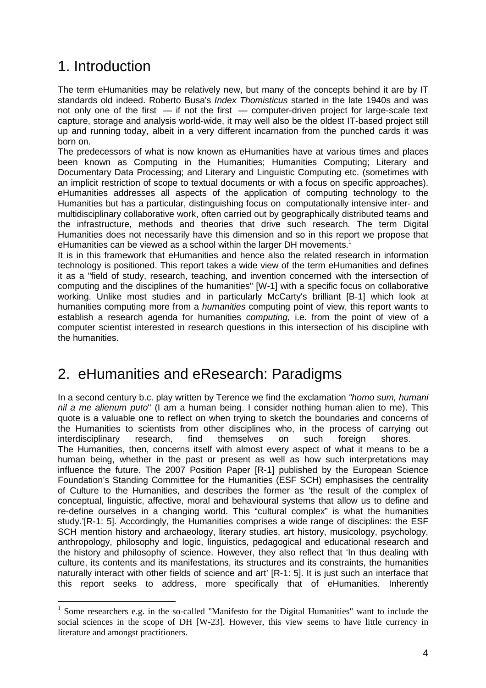# 1. Introduction

 $\overline{a}$ 

The term eHumanities may be relatively new, but many of the concepts behind it are by IT standards old indeed. Roberto Busa's Index Thomisticus started in the late 1940s and was not only one of the first — if not the first — computer-driven project for large-scale text capture, storage and analysis world-wide, it may well also be the oldest IT-based project still up and running today, albeit in a very different incarnation from the punched cards it was born on.

The predecessors of what is now known as eHumanities have at various times and places been known as Computing in the Humanities; Humanities Computing; Literary and Documentary Data Processing; and Literary and Linguistic Computing etc. (sometimes with an implicit restriction of scope to textual documents or with a focus on specific approaches). eHumanities addresses all aspects of the application of computing technology to the Humanities but has a particular, distinguishing focus on computationally intensive inter- and multidisciplinary collaborative work, often carried out by geographically distributed teams and the infrastructure, methods and theories that drive such research. The term Digital Humanities does not necessarily have this dimension and so in this report we propose that eHumanities can be viewed as a school within the larger DH movements.<sup>1</sup>

It is in this framework that eHumanities and hence also the related research in information technology is positioned. This report takes a wide view of the term eHumanities and defines it as a "field of study, research, teaching, and invention concerned with the intersection of computing and the disciplines of the humanities" [W-1] with a specific focus on collaborative working. Unlike most studies and in particularly McCarty's brilliant [B-1] which look at humanities computing more from a *humanities* computing point of view, this report wants to establish a research agenda for humanities *computing*, i.e. from the point of view of a computer scientist interested in research questions in this intersection of his discipline with the humanities.

# 2. eHumanities and eResearch: Paradigms

In a second century b.c. play written by Terence we find the exclamation "homo sum, humani nil a me alienum puto" (I am a human being. I consider nothing human alien to me). This quote is a valuable one to reflect on when trying to sketch the boundaries and concerns of the Humanities to scientists from other disciplines who, in the process of carrying out interdisciplinary research, find themselves on such foreign shores. The Humanities, then, concerns itself with almost every aspect of what it means to be a human being, whether in the past or present as well as how such interpretations may influence the future. The 2007 Position Paper [R-1] published by the European Science Foundation's Standing Committee for the Humanities (ESF SCH) emphasises the centrality of Culture to the Humanities, and describes the former as 'the result of the complex of conceptual, linguistic, affective, moral and behavioural systems that allow us to define and re-define ourselves in a changing world. This "cultural complex" is what the humanities study.'[R-1: 5]. Accordingly, the Humanities comprises a wide range of disciplines: the ESF SCH mention history and archaeology, literary studies, art history, musicology, psychology, anthropology, philosophy and logic, linguistics, pedagogical and educational research and the history and philosophy of science. However, they also reflect that 'In thus dealing with culture, its contents and its manifestations, its structures and its constraints, the humanities naturally interact with other fields of science and art' [R-1: 5]. It is just such an interface that this report seeks to address, more specifically that of eHumanities. Inherently

<sup>&</sup>lt;sup>1</sup> Some researchers e.g. in the so-called "Manifesto for the Digital Humanities" want to include the social sciences in the scope of DH [W-23]. However, this view seems to have little currency in literature and amongst practitioners.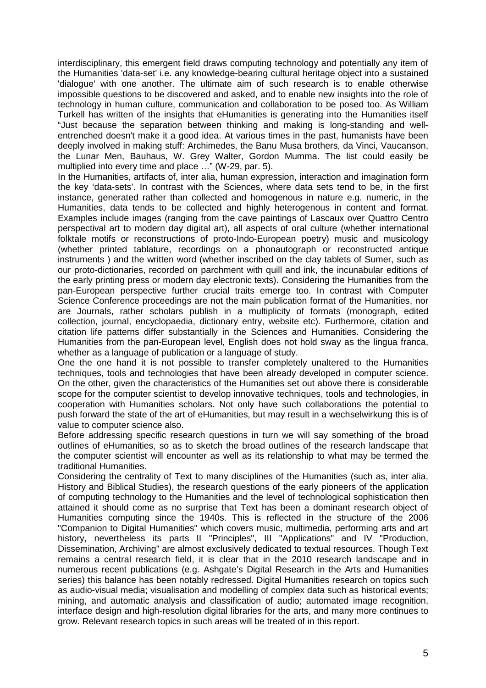interdisciplinary, this emergent field draws computing technology and potentially any item of the Humanities 'data-set' i.e. any knowledge-bearing cultural heritage object into a sustained 'dialogue' with one another. The ultimate aim of such research is to enable otherwise impossible questions to be discovered and asked, and to enable new insights into the role of technology in human culture, communication and collaboration to be posed too. As William Turkell has written of the insights that eHumanities is generating into the Humanities itself "Just because the separation between thinking and making is long-standing and wellentrenched doesn't make it a good idea. At various times in the past, humanists have been deeply involved in making stuff: Archimedes, the Banu Musa brothers, da Vinci, Vaucanson, the Lunar Men, Bauhaus, W. Grey Walter, Gordon Mumma. The list could easily be multiplied into every time and place …" (W-29, par. 5).

In the Humanities, artifacts of, inter alia, human expression, interaction and imagination form the key 'data-sets'. In contrast with the Sciences, where data sets tend to be, in the first instance, generated rather than collected and homogenous in nature e.g. numeric, in the Humanities, data tends to be collected and highly heterogenous in content and format. Examples include images (ranging from the cave paintings of Lascaux over Quattro Centro perspectival art to modern day digital art), all aspects of oral culture (whether international folktale motifs or reconstructions of proto-Indo-European poetry) music and musicology (whether printed tablature, recordings on a phonautograph or reconstructed antique instruments ) and the written word (whether inscribed on the clay tablets of Sumer, such as our proto-dictionaries, recorded on parchment with quill and ink, the incunabular editions of the early printing press or modern day electronic texts). Considering the Humanities from the pan-European perspective further crucial traits emerge too. In contrast with Computer Science Conference proceedings are not the main publication format of the Humanities, nor are Journals, rather scholars publish in a multiplicity of formats (monograph, edited collection, journal, encyclopaedia, dictionary entry, website etc). Furthermore, citation and citation life patterns differ substantially in the Sciences and Humanities. Considering the Humanities from the pan-European level, English does not hold sway as the lingua franca, whether as a language of publication or a language of study.

One the one hand it is not possible to transfer completely unaltered to the Humanities techniques, tools and technologies that have been already developed in computer science. On the other, given the characteristics of the Humanities set out above there is considerable scope for the computer scientist to develop innovative techniques, tools and technologies, in cooperation with Humanities scholars. Not only have such collaborations the potential to push forward the state of the art of eHumanities, but may result in a wechselwirkung this is of value to computer science also.

Before addressing specific research questions in turn we will say something of the broad outlines of eHumanities, so as to sketch the broad outlines of the research landscape that the computer scientist will encounter as well as its relationship to what may be termed the traditional Humanities.

Considering the centrality of Text to many disciplines of the Humanities (such as, inter alia, History and Biblical Studies), the research questions of the early pioneers of the application of computing technology to the Humanities and the level of technological sophistication then attained it should come as no surprise that Text has been a dominant research object of Humanities computing since the 1940s. This is reflected in the structure of the 2006 "Companion to Digital Humanities" which covers music, multimedia, performing arts and art history, nevertheless its parts II "Principles", III "Applications" and IV "Production, Dissemination, Archiving" are almost exclusively dedicated to textual resources. Though Text remains a central research field, it is clear that in the 2010 research landscape and in numerous recent publications (e.g. Ashgate's Digital Research in the Arts and Humanities series) this balance has been notably redressed. Digital Humanities research on topics such as audio-visual media; visualisation and modelling of complex data such as historical events; mining, and automatic analysis and classification of audio; automated image recognition, interface design and high-resolution digital libraries for the arts, and many more continues to grow. Relevant research topics in such areas will be treated of in this report.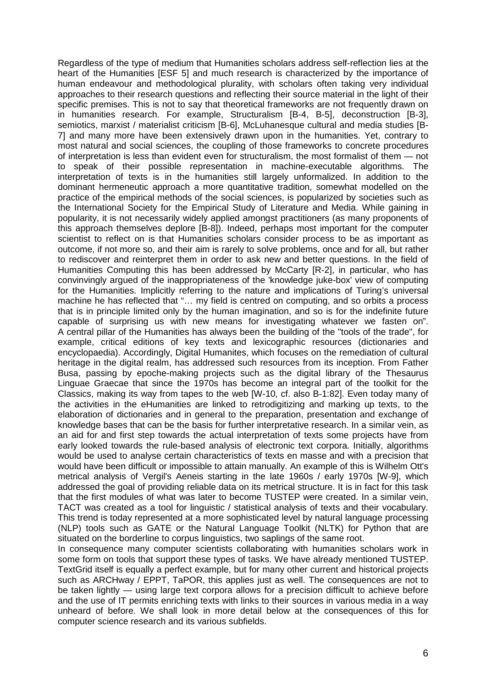Regardless of the type of medium that Humanities scholars address self-reflection lies at the heart of the Humanities [ESF 5] and much research is characterized by the importance of human endeavour and methodological plurality, with scholars often taking very individual approaches to their research questions and reflecting their source material in the light of their specific premises. This is not to say that theoretical frameworks are not frequently drawn on in humanities research. For example, Structuralism [B-4, B-5], deconstruction [B-3], semiotics, marxist / materialist criticism [B-6], McLuhanesque cultural and media studies [B-7] and many more have been extensively drawn upon in the humanities. Yet, contrary to most natural and social sciences, the coupling of those frameworks to concrete procedures of interpretation is less than evident even for structuralism, the most formalist of them — not to speak of their possible representation in machine-executable algorithms. The interpretation of texts is in the humanities still largely unformalized. In addition to the dominant hermeneutic approach a more quantitative tradition, somewhat modelled on the practice of the empirical methods of the social sciences, is popularized by societies such as the International Society for the Empirical Study of Literature and Media. While gaining in popularity, it is not necessarily widely applied amongst practitioners (as many proponents of this approach themselves deplore [B-8]). Indeed, perhaps most important for the computer scientist to reflect on is that Humanities scholars consider process to be as important as outcome, if not more so, and their aim is rarely to solve problems, once and for all, but rather to rediscover and reinterpret them in order to ask new and better questions. In the field of Humanities Computing this has been addressed by McCarty [R-2], in particular, who has convinvingly argued of the inappropriateness of the 'knowledge juke-box' view of computing for the Humanities. Implicitly referring to the nature and implications of Turing's universal machine he has reflected that "… my field is centred on computing, and so orbits a process that is in principle limited only by the human imagination, and so is for the indefinite future capable of surprising us with new means for investigating whatever we fasten on". A central pillar of the Humanities has always been the building of the "tools of the trade", for example, critical editions of key texts and lexicographic resources (dictionaries and encyclopaedia). Accordingly, Digital Humanites, which focuses on the remediation of cultural heritage in the digital realm, has addressed such resources from its inception. From Father Busa, passing by epoche-making projects such as the digital library of the Thesaurus Linguae Graecae that since the 1970s has become an integral part of the toolkit for the Classics, making its way from tapes to the web [W-10, cf. also B-1:82]. Even today many of the activities in the eHumanities are linked to retrodigitizing and marking up texts, to the elaboration of dictionaries and in general to the preparation, presentation and exchange of knowledge bases that can be the basis for further interpretative research. In a similar vein, as an aid for and first step towards the actual interpretation of texts some projects have from early looked towards the rule-based analysis of electronic text corpora. Initially, algorithms would be used to analyse certain characteristics of texts en masse and with a precision that would have been difficult or impossible to attain manually. An example of this is Wilhelm Ott's metrical analysis of Vergil's Aeneis starting in the late 1960s / early 1970s [W-9], which addressed the goal of providing reliable data on its metrical structure. It is in fact for this task that the first modules of what was later to become TUSTEP were created. In a similar vein, TACT was created as a tool for linguistic / statistical analysis of texts and their vocabulary. This trend is today represented at a more sophisticated level by natural language processing (NLP) tools such as GATE or the Natural Language Toolkit (NLTK) for Python that are situated on the borderline to corpus linguistics, two saplings of the same root.

In consequence many computer scientists collaborating with humanities scholars work in some form on tools that support these types of tasks. We have already mentioned TUSTEP. TextGrid itself is equally a perfect example, but for many other current and historical projects such as ARCHway / EPPT, TaPOR, this applies just as well. The consequences are not to be taken lightly — using large text corpora allows for a precision difficult to achieve before and the use of IT permits enriching texts with links to their sources in various media in a way unheard of before. We shall look in more detail below at the consequences of this for computer science research and its various subfields.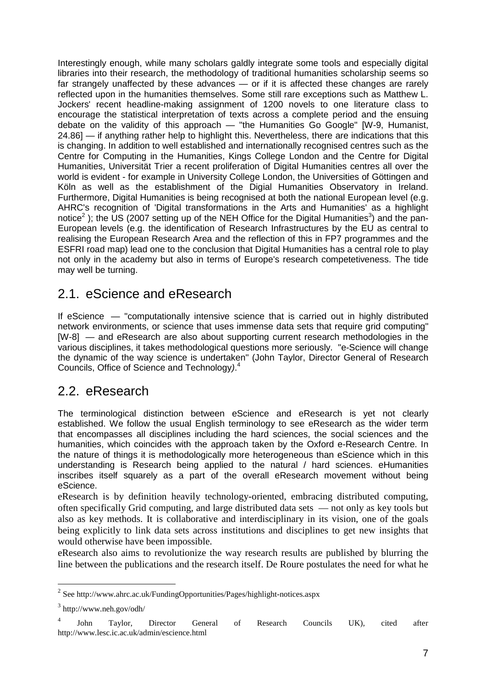Interestingly enough, while many scholars galdly integrate some tools and especially digital libraries into their research, the methodology of traditional humanities scholarship seems so far strangely unaffected by these advances — or if it is affected these changes are rarely reflected upon in the humanities themselves. Some still rare exceptions such as Matthew L. Jockers' recent headline-making assignment of 1200 novels to one literature class to encourage the statistical interpretation of texts across a complete period and the ensuing debate on the validity of this approach — "the Humanities Go Google" [W-9, Humanist, 24.86] — if anything rather help to highlight this. Nevertheless, there are indications that this is changing. In addition to well established and internationally recognised centres such as the Centre for Computing in the Humanities, Kings College London and the Centre for Digital Humanities, Universität Trier a recent proliferation of Digital Humanities centres all over the world is evident - for example in University College London, the Universities of Göttingen and Köln as well as the establishment of the Digial Humanities Observatory in Ireland. Furthermore, Digital Humanities is being recognised at both the national European level (e.g. AHRC's recognition of 'Digital transformations in the Arts and Humanities' as a highlight notice<sup>2</sup>); the US (2007 setting up of the NEH Office for the Digital Humanities<sup>3</sup>) and the pan-European levels (e.g. the identification of Research Infrastructures by the EU as central to realising the European Research Area and the reflection of this in FP7 programmes and the ESFRI road map) lead one to the conclusion that Digital Humanities has a central role to play not only in the academy but also in terms of Europe's research competetiveness. The tide may well be turning.

### 2.1. eScience and eResearch

If eScience — "computationally intensive science that is carried out in highly distributed network environments, or science that uses immense data sets that require grid computing" [W-8] — and eResearch are also about supporting current research methodologies in the various disciplines, it takes methodological questions more seriously. "e-Science will change the dynamic of the way science is undertaken" (John Taylor, Director General of Research Councils, Office of Science and Technology). 4

## 2.2. eResearch

The terminological distinction between eScience and eResearch is yet not clearly established. We follow the usual English terminology to see eResearch as the wider term that encompasses all disciplines including the hard sciences, the social sciences and the humanities, which coincides with the approach taken by the Oxford e-Research Centre. In the nature of things it is methodologically more heterogeneous than eScience which in this understanding is Research being applied to the natural / hard sciences. eHumanities inscribes itself squarely as a part of the overall eResearch movement without being eScience.

eResearch is by definition heavily technology-oriented, embracing distributed computing, often specifically Grid computing, and large distributed data sets — not only as key tools but also as key methods. It is collaborative and interdisciplinary in its vision, one of the goals being explicitly to link data sets across institutions and disciplines to get new insights that would otherwise have been impossible.

eResearch also aims to revolutionize the way research results are published by blurring the line between the publications and the research itself. De Roure postulates the need for what he

 $\overline{a}$ 

<sup>&</sup>lt;sup>2</sup> See http://www.ahrc.ac.uk/FundingOpportunities/Pages/highlight-notices.aspx

 $3$  http://www.neh.gov/odh/

<sup>4</sup> John Taylor, Director General of Research Councils UK), cited after http://www.lesc.ic.ac.uk/admin/escience.html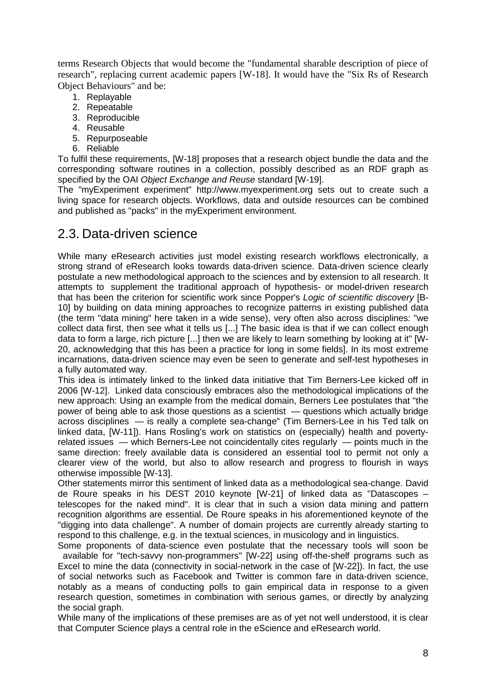terms Research Objects that would become the "fundamental sharable description of piece of research", replacing current academic papers [W-18]. It would have the "Six Rs of Research Object Behaviours" and be:

- 1. Replayable
- 2. Repeatable
- 3. Reproducible
- 4. Reusable
- 5. Repurposeable
- 6. Reliable

To fulfil these requirements, [W-18] proposes that a research object bundle the data and the corresponding software routines in a collection, possibly described as an RDF graph as specified by the OAI Object Exchange and Reuse standard [W-19].

The "myExperiment experiment" http://www.myexperiment.org sets out to create such a living space for research objects. Workflows, data and outside resources can be combined and published as "packs" in the myExperiment environment.

#### 2.3. Data-driven science

While many eResearch activities just model existing research workflows electronically, a strong strand of eResearch looks towards data-driven science. Data-driven science clearly postulate a new methodological approach to the sciences and by extension to all research. It attempts to supplement the traditional approach of hypothesis- or model-driven research that has been the criterion for scientific work since Popper's Logic of scientific discovery [B-10] by building on data mining approaches to recognize patterns in existing published data (the term "data mining" here taken in a wide sense), very often also across disciplines: "we collect data first, then see what it tells us [...] The basic idea is that if we can collect enough data to form a large, rich picture [...] then we are likely to learn something by looking at it" [W-20, acknowledging that this has been a practice for long in some fields]. In its most extreme incarnations, data-driven science may even be seen to generate and self-test hypotheses in a fully automated way.

This idea is intimately linked to the linked data initiative that Tim Berners-Lee kicked off in 2006 [W-12]. Linked data consciously embraces also the methodological implications of the new approach: Using an example from the medical domain, Berners Lee postulates that "the power of being able to ask those questions as a scientist — questions which actually bridge across disciplines — is really a complete sea-change" (Tim Berners-Lee in his Ted talk on linked data, [W-11]). Hans Rosling's work on statistics on (especially) health and povertyrelated issues — which Berners-Lee not coincidentally cites regularly — points much in the same direction: freely available data is considered an essential tool to permit not only a clearer view of the world, but also to allow research and progress to flourish in ways otherwise impossible [W-13].

Other statements mirror this sentiment of linked data as a methodological sea-change. David de Roure speaks in his DEST 2010 keynote [W-21] of linked data as "Datascopes – telescopes for the naked mind". It is clear that in such a vision data mining and pattern recognition algorithms are essential. De Roure speaks in his aforementioned keynote of the "digging into data challenge". A number of domain projects are currently already starting to respond to this challenge, e.g. in the textual sciences, in musicology and in linguistics.

Some proponents of data-science even postulate that the necessary tools will soon be available for "tech-savvy non-programmers" [W-22] using off-the-shelf programs such as Excel to mine the data (connectivity in social-network in the case of [W-22]). In fact, the use of social networks such as Facebook and Twitter is common fare in data-driven science, notably as a means of conducting polls to gain empirical data in response to a given research question, sometimes in combination with serious games, or directly by analyzing the social graph.

While many of the implications of these premises are as of yet not well understood, it is clear that Computer Science plays a central role in the eScience and eResearch world.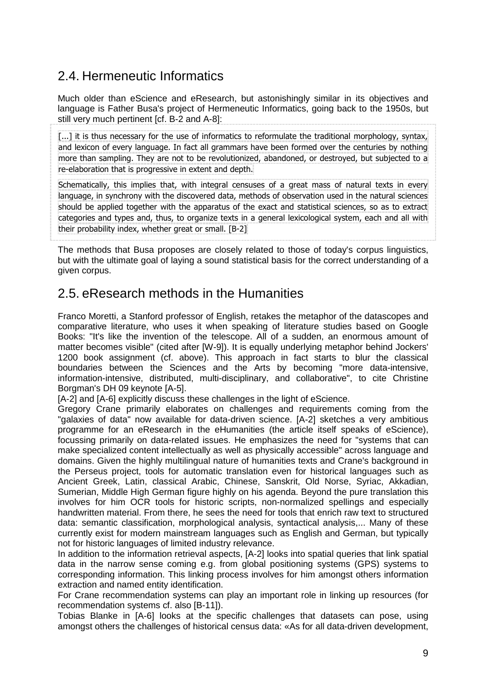## 2.4. Hermeneutic Informatics

Much older than eScience and eResearch, but astonishingly similar in its objectives and language is Father Busa's project of Hermeneutic Informatics, going back to the 1950s, but still very much pertinent [cf. B-2 and A-8]:

[...] it is thus necessary for the use of informatics to reformulate the traditional morphology, syntax, and lexicon of every language. In fact all grammars have been formed over the centuries by nothing more than sampling. They are not to be revolutionized, abandoned, or destroyed, but subjected to a re-elaboration that is progressive in extent and depth.

Schematically, this implies that, with integral censuses of a great mass of natural texts in every language, in synchrony with the discovered data, methods of observation used in the natural sciences should be applied together with the apparatus of the exact and statistical sciences, so as to extract categories and types and, thus, to organize texts in a general lexicological system, each and all with their probability index, whether great or small. [B-2]

The methods that Busa proposes are closely related to those of today's corpus linguistics, but with the ultimate goal of laying a sound statistical basis for the correct understanding of a given corpus.

## 2.5. eResearch methods in the Humanities

Franco Moretti, a Stanford professor of English, retakes the metaphor of the datascopes and comparative literature, who uses it when speaking of literature studies based on Google Books: "It's like the invention of the telescope. All of a sudden, an enormous amount of matter becomes visible" (cited after [W-9]). It is equally underlying metaphor behind Jockers' 1200 book assignment (cf. above). This approach in fact starts to blur the classical boundaries between the Sciences and the Arts by becoming "more data-intensive, information-intensive, distributed, multi-disciplinary, and collaborative", to cite Christine Borgman's DH 09 keynote [A-5].

[A-2] and [A-6] explicitly discuss these challenges in the light of eScience.

Gregory Crane primarily elaborates on challenges and requirements coming from the "galaxies of data" now available for data-driven science. [A-2] sketches a very ambitious programme for an eResearch in the eHumanities (the article itself speaks of eScience), focussing primarily on data-related issues. He emphasizes the need for "systems that can make specialized content intellectually as well as physically accessible" across language and domains. Given the highly multilingual nature of humanities texts and Crane's background in the Perseus project, tools for automatic translation even for historical languages such as Ancient Greek, Latin, classical Arabic, Chinese, Sanskrit, Old Norse, Syriac, Akkadian, Sumerian, Middle High German figure highly on his agenda. Beyond the pure translation this involves for him OCR tools for historic scripts, non-normalized spellings and especially handwritten material. From there, he sees the need for tools that enrich raw text to structured data: semantic classification, morphological analysis, syntactical analysis,... Many of these currently exist for modern mainstream languages such as English and German, but typically not for historic languages of limited industry relevance.

In addition to the information retrieval aspects, [A-2] looks into spatial queries that link spatial data in the narrow sense coming e.g. from global positioning systems (GPS) systems to corresponding information. This linking process involves for him amongst others information extraction and named entity identification.

For Crane recommendation systems can play an important role in linking up resources (for recommendation systems cf. also [B-11]).

Tobias Blanke in [A-6] looks at the specific challenges that datasets can pose, using amongst others the challenges of historical census data: «As for all data-driven development,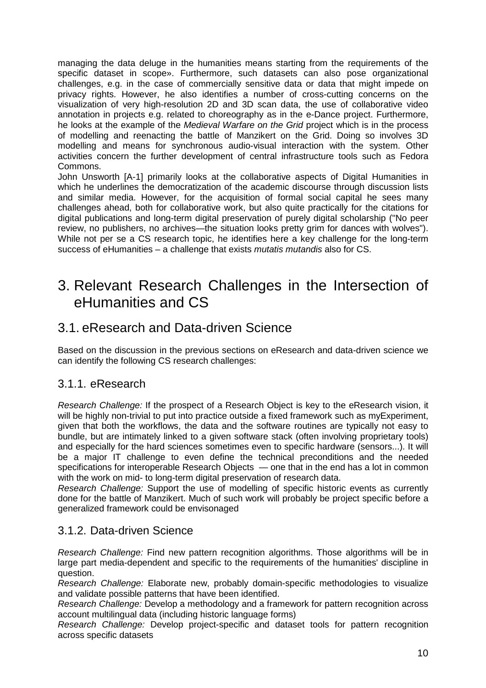managing the data deluge in the humanities means starting from the requirements of the specific dataset in scope». Furthermore, such datasets can also pose organizational challenges, e.g. in the case of commercially sensitive data or data that might impede on privacy rights. However, he also identifies a number of cross-cutting concerns on the visualization of very high-resolution 2D and 3D scan data, the use of collaborative video annotation in projects e.g. related to choreography as in the e-Dance project. Furthermore, he looks at the example of the *Medieval Warfare on the Grid* project which is in the process of modelling and reenacting the battle of Manzikert on the Grid. Doing so involves 3D modelling and means for synchronous audio-visual interaction with the system. Other activities concern the further development of central infrastructure tools such as Fedora Commons.

John Unsworth [A-1] primarily looks at the collaborative aspects of Digital Humanities in which he underlines the democratization of the academic discourse through discussion lists and similar media. However, for the acquisition of formal social capital he sees many challenges ahead, both for collaborative work, but also quite practically for the citations for digital publications and long-term digital preservation of purely digital scholarship ("No peer review, no publishers, no archives—the situation looks pretty grim for dances with wolves"). While not per se a CS research topic, he identifies here a key challenge for the long-term success of eHumanities  $-$  a challenge that exists *mutatis mutandis* also for CS.

## 3. Relevant Research Challenges in the Intersection of eHumanities and CS

### 3.1. eResearch and Data-driven Science

Based on the discussion in the previous sections on eResearch and data-driven science we can identify the following CS research challenges:

#### 3.1.1. eResearch

Research Challenge: If the prospect of a Research Object is key to the eResearch vision, it will be highly non-trivial to put into practice outside a fixed framework such as myExperiment, given that both the workflows, the data and the software routines are typically not easy to bundle, but are intimately linked to a given software stack (often involving proprietary tools) and especially for the hard sciences sometimes even to specific hardware (sensors...). It will be a major IT challenge to even define the technical preconditions and the needed specifications for interoperable Research Objects — one that in the end has a lot in common with the work on mid- to long-term digital preservation of research data.

Research Challenge: Support the use of modelling of specific historic events as currently done for the battle of Manzikert. Much of such work will probably be project specific before a generalized framework could be envisonaged

#### 3.1.2. Data-driven Science

Research Challenge: Find new pattern recognition algorithms. Those algorithms will be in large part media-dependent and specific to the requirements of the humanities' discipline in question.

Research Challenge: Elaborate new, probably domain-specific methodologies to visualize and validate possible patterns that have been identified.

Research Challenge: Develop a methodology and a framework for pattern recognition across account multilingual data (including historic language forms)

Research Challenge: Develop project-specific and dataset tools for pattern recognition across specific datasets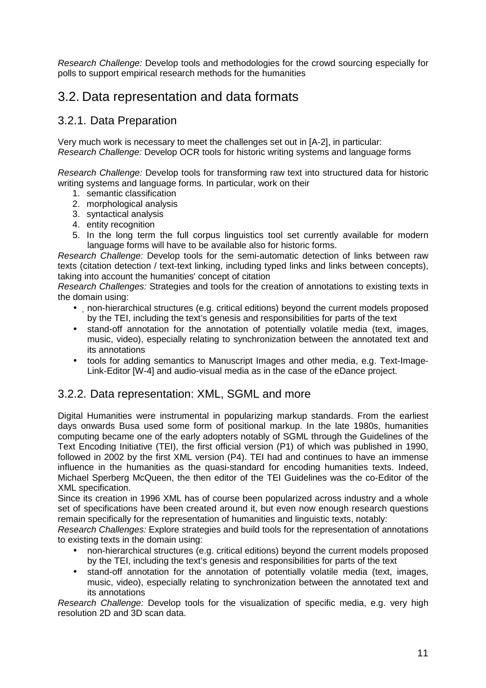Research Challenge: Develop tools and methodologies for the crowd sourcing especially for polls to support empirical research methods for the humanities

## 3.2. Data representation and data formats

#### 3.2.1. Data Preparation

Very much work is necessary to meet the challenges set out in [A-2], in particular: Research Challenge: Develop OCR tools for historic writing systems and language forms

Research Challenge: Develop tools for transforming raw text into structured data for historic writing systems and language forms. In particular, work on their

- 1. semantic classification
- 2. morphological analysis
- 3. syntactical analysis
- 4. entity recognition
- 5. In the long term the full corpus linguistics tool set currently available for modern language forms will have to be available also for historic forms.

Research Challenge: Develop tools for the semi-automatic detection of links between raw texts (citation detection / text-text linking, including typed links and links between concepts), taking into account the humanities' concept of citation

Research Challenges: Strategies and tools for the creation of annotations to existing texts in the domain using:

- non-hierarchical structures (e.g. critical editions) beyond the current models proposed by the TEI, including the text's genesis and responsibilities for parts of the text
- stand-off annotation for the annotation of potentially volatile media (text, images, music, video), especially relating to synchronization between the annotated text and its annotations
- tools for adding semantics to Manuscript Images and other media, e.g. Text-Image-Link-Editor [W-4] and audio-visual media as in the case of the eDance project.

#### 3.2.2. Data representation: XML, SGML and more

Digital Humanities were instrumental in popularizing markup standards. From the earliest days onwards Busa used some form of positional markup. In the late 1980s, humanities computing became one of the early adopters notably of SGML through the Guidelines of the Text Encoding Initiative (TEI), the first official version (P1) of which was published in 1990, followed in 2002 by the first XML version (P4). TEI had and continues to have an immense influence in the humanities as the quasi-standard for encoding humanities texts. Indeed, Michael Sperberg McQueen, the then editor of the TEI Guidelines was the co-Editor of the XML specification.

Since its creation in 1996 XML has of course been popularized across industry and a whole set of specifications have been created around it, but even now enough research questions remain specifically for the representation of humanities and linguistic texts, notably:

Research Challenges: Explore strategies and build tools for the representation of annotations to existing texts in the domain using:

- non-hierarchical structures (e.g. critical editions) beyond the current models proposed by the TEI, including the text's genesis and responsibilities for parts of the text
- stand-off annotation for the annotation of potentially volatile media (text, images, music, video), especially relating to synchronization between the annotated text and its annotations

Research Challenge: Develop tools for the visualization of specific media, e.g. very high resolution 2D and 3D scan data.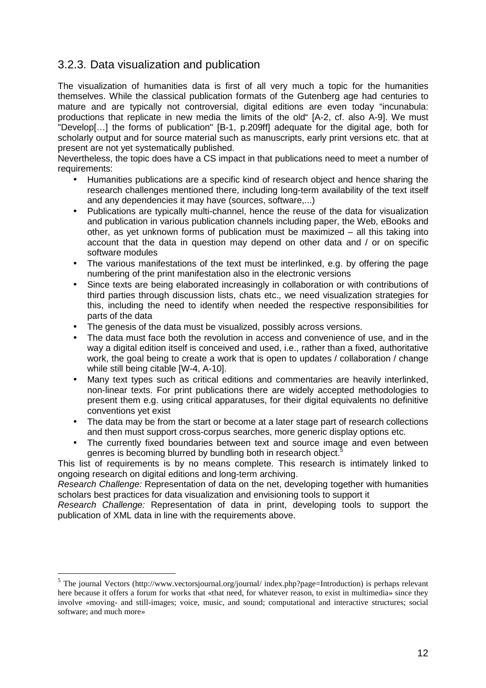#### 3.2.3. Data visualization and publication

The visualization of humanities data is first of all very much a topic for the humanities themselves. While the classical publication formats of the Gutenberg age had centuries to mature and are typically not controversial, digital editions are even today "incunabula: productions that replicate in new media the limits of the old" [A-2, cf. also A-9]. We must "Develop[…] the forms of publication" [B-1, p.209ff] adequate for the digital age, both for scholarly output and for source material such as manuscripts, early print versions etc. that at present are not yet systematically published.

Nevertheless, the topic does have a CS impact in that publications need to meet a number of requirements:

- Humanities publications are a specific kind of research object and hence sharing the research challenges mentioned there, including long-term availability of the text itself and any dependencies it may have (sources, software,...)
- Publications are typically multi-channel, hence the reuse of the data for visualization and publication in various publication channels including paper, the Web, eBooks and other, as yet unknown forms of publication must be maximized – all this taking into account that the data in question may depend on other data and / or on specific software modules
- The various manifestations of the text must be interlinked, e.g. by offering the page numbering of the print manifestation also in the electronic versions
- Since texts are being elaborated increasingly in collaboration or with contributions of third parties through discussion lists, chats etc., we need visualization strategies for this, including the need to identify when needed the respective responsibilities for parts of the data
- The genesis of the data must be visualized, possibly across versions.
- The data must face both the revolution in access and convenience of use, and in the way a digital edition itself is conceived and used, i.e., rather than a fixed, authoritative work, the goal being to create a work that is open to updates / collaboration / change while still being citable [W-4, A-10].
- Many text types such as critical editions and commentaries are heavily interlinked, non-linear texts. For print publications there are widely accepted methodologies to present them e.g. using critical apparatuses, for their digital equivalents no definitive conventions yet exist
- The data may be from the start or become at a later stage part of research collections and then must support cross-corpus searches, more generic display options etc.
- The currently fixed boundaries between text and source image and even between genres is becoming blurred by bundling both in research object.<sup>5</sup>

This list of requirements is by no means complete. This research is intimately linked to ongoing research on digital editions and long-term archiving.

Research Challenge: Representation of data on the net, developing together with humanities scholars best practices for data visualization and envisioning tools to support it

Research Challenge: Representation of data in print, developing tools to support the publication of XML data in line with the requirements above.

 $\overline{a}$ 

<sup>&</sup>lt;sup>5</sup> The journal Vectors (http://www.vectorsjournal.org/journal/ index.php?page=Introduction) is perhaps relevant here because it offers a forum for works that «that need, for whatever reason, to exist in multimedia» since they involve «moving- and still-images; voice, music, and sound; computational and interactive structures; social software; and much more»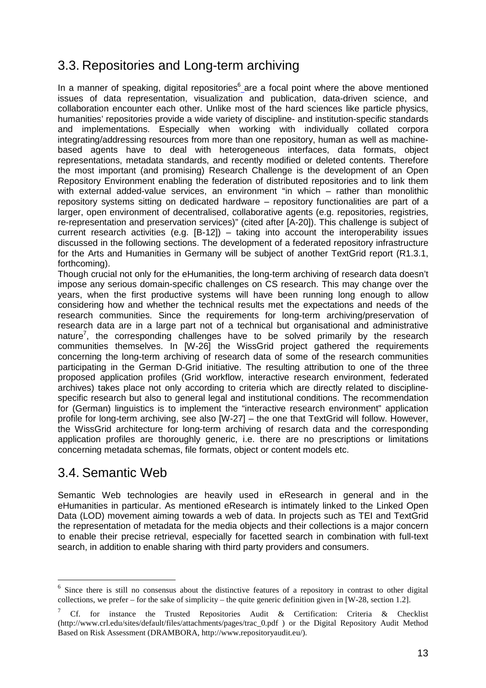## 3.3. Repositories and Long-term archiving

In a manner of speaking, digital repositories<sup>6</sup> are a focal point where the above mentioned issues of data representation, visualization and publication, data-driven science, and collaboration encounter each other. Unlike most of the hard sciences like particle physics, humanities' repositories provide a wide variety of discipline- and institution-specific standards and implementations. Especially when working with individually collated corpora integrating/addressing resources from more than one repository, human as well as machinebased agents have to deal with heterogeneous interfaces, data formats, object representations, metadata standards, and recently modified or deleted contents. Therefore the most important (and promising) Research Challenge is the development of an Open Repository Environment enabling the federation of distributed repositories and to link them with external added-value services, an environment "in which – rather than monolithic repository systems sitting on dedicated hardware – repository functionalities are part of a larger, open environment of decentralised, collaborative agents (e.g. repositories, registries, re-representation and preservation services)" (cited after [A-20]). This challenge is subject of current research activities (e.g. [B-12]) – taking into account the interoperability issues discussed in the following sections. The development of a federated repository infrastructure for the Arts and Humanities in Germany will be subject of another TextGrid report (R1.3.1, forthcoming).

Though crucial not only for the eHumanities, the long-term archiving of research data doesn't impose any serious domain-specific challenges on CS research. This may change over the years, when the first productive systems will have been running long enough to allow considering how and whether the technical results met the expectations and needs of the research communities. Since the requirements for long-term archiving/preservation of research data are in a large part not of a technical but organisational and administrative nature<sup>7</sup>, the corresponding challenges have to be solved primarily by the research communities themselves. In [W-26] the WissGrid project gathered the requirements concerning the long-term archiving of research data of some of the research communities participating in the German D-Grid initiative. The resulting attribution to one of the three proposed application profiles (Grid workflow, interactive research environment, federated archives) takes place not only according to criteria which are directly related to disciplinespecific research but also to general legal and institutional conditions. The recommendation for (German) linguistics is to implement the "interactive research environment" application profile for long-term archiving, see also [W-27] – the one that TextGrid will follow. However, the WissGrid architecture for long-term archiving of resarch data and the corresponding application profiles are thoroughly generic, i.e. there are no prescriptions or limitations concerning metadata schemas, file formats, object or content models etc.

## 3.4. Semantic Web

 $\overline{a}$ 

Semantic Web technologies are heavily used in eResearch in general and in the eHumanities in particular. As mentioned eResearch is intimately linked to the Linked Open Data (LOD) movement aiming towards a web of data. In projects such as TEI and TextGrid the representation of metadata for the media objects and their collections is a major concern to enable their precise retrieval, especially for facetted search in combination with full-text search, in addition to enable sharing with third party providers and consumers.

<sup>&</sup>lt;sup>6</sup> Since there is still no consensus about the distinctive features of a repository in contrast to other digital collections, we prefer – for the sake of simplicity – the quite generic definition given in [W-28, section 1.2].

<sup>7</sup> Cf. for instance the Trusted Repositories Audit & Certification: Criteria & Checklist (http://www.crl.edu/sites/default/files/attachments/pages/trac\_0.pdf ) or the Digital Repository Audit Method Based on Risk Assessment (DRAMBORA, http://www.repositoryaudit.eu/).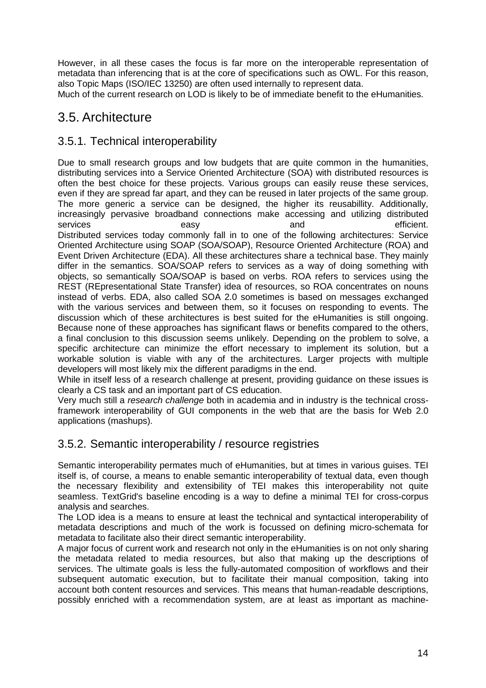However, in all these cases the focus is far more on the interoperable representation of metadata than inferencing that is at the core of specifications such as OWL. For this reason, also Topic Maps (ISO/IEC 13250) are often used internally to represent data.

Much of the current research on LOD is likely to be of immediate benefit to the eHumanities.

## 3.5. Architecture

#### 3.5.1. Technical interoperability

Due to small research groups and low budgets that are quite common in the humanities, distributing services into a Service Oriented Architecture (SOA) with distributed resources is often the best choice for these projects. Various groups can easily reuse these services, even if they are spread far apart, and they can be reused in later projects of the same group. The more generic a service can be designed, the higher its reusabillity. Additionally, increasingly pervasive broadband connections make accessing and utilizing distributed services easy easy and and efficient. Distributed services today commonly fall in to one of the following architectures: Service Oriented Architecture using SOAP (SOA/SOAP), Resource Oriented Architecture (ROA) and Event Driven Architecture (EDA). All these architectures share a technical base. They mainly differ in the semantics. SOA/SOAP refers to services as a way of doing something with objects, so semantically SOA/SOAP is based on verbs. ROA refers to services using the REST (REpresentational State Transfer) idea of resources, so ROA concentrates on nouns instead of verbs. EDA, also called SOA 2.0 sometimes is based on messages exchanged with the various services and between them, so it focuses on responding to events. The discussion which of these architectures is best suited for the eHumanities is still ongoing. Because none of these approaches has significant flaws or benefits compared to the others, a final conclusion to this discussion seems unlikely. Depending on the problem to solve, a specific architecture can minimize the effort necessary to implement its solution, but a workable solution is viable with any of the architectures. Larger projects with multiple developers will most likely mix the different paradigms in the end.

While in itself less of a research challenge at present, providing guidance on these issues is clearly a CS task and an important part of CS education.

Very much still a research challenge both in academia and in industry is the technical crossframework interoperability of GUI components in the web that are the basis for Web 2.0 applications (mashups).

#### 3.5.2. Semantic interoperability / resource registries

Semantic interoperability permates much of eHumanities, but at times in various guises. TEI itself is, of course, a means to enable semantic interoperability of textual data, even though the necessary flexibility and extensibility of TEI makes this interoperability not quite seamless. TextGrid's baseline encoding is a way to define a minimal TEI for cross-corpus analysis and searches.

The LOD idea is a means to ensure at least the technical and syntactical interoperability of metadata descriptions and much of the work is focussed on defining micro-schemata for metadata to facilitate also their direct semantic interoperability.

A major focus of current work and research not only in the eHumanities is on not only sharing the metadata related to media resources, but also that making up the descriptions of services. The ultimate goals is less the fully-automated composition of workflows and their subsequent automatic execution, but to facilitate their manual composition, taking into account both content resources and services. This means that human-readable descriptions, possibly enriched with a recommendation system, are at least as important as machine-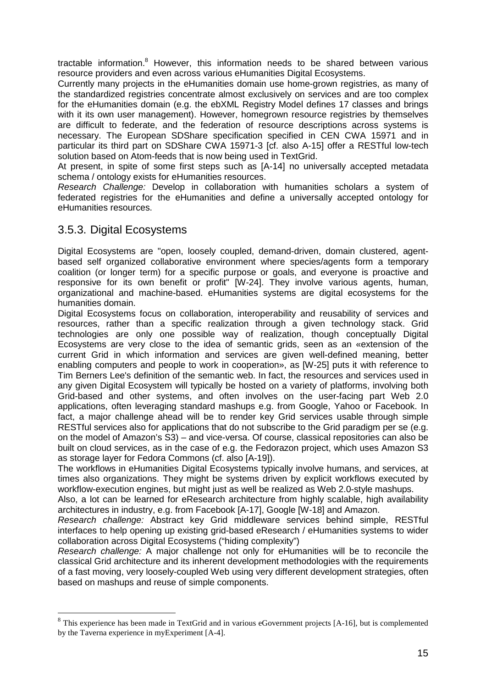tractable information.<sup>8</sup> However, this information needs to be shared between various resource providers and even across various eHumanities Digital Ecosystems.

Currently many projects in the eHumanities domain use home-grown registries, as many of the standardized registries concentrate almost exclusively on services and are too complex for the eHumanities domain (e.g. the ebXML Registry Model defines 17 classes and brings with it its own user management). However, homegrown resource registries by themselves are difficult to federate, and the federation of resource descriptions across systems is necessary. The European SDShare specification specified in CEN CWA 15971 and in particular its third part on SDShare CWA 15971-3 [cf. also A-15] offer a RESTful low-tech solution based on Atom-feeds that is now being used in TextGrid.

At present, in spite of some first steps such as [A-14] no universally accepted metadata schema / ontology exists for eHumanities resources.

Research Challenge: Develop in collaboration with humanities scholars a system of federated registries for the eHumanities and define a universally accepted ontology for eHumanities resources.

#### 3.5.3. Digital Ecosystems

 $\overline{a}$ 

Digital Ecosystems are "open, loosely coupled, demand-driven, domain clustered, agentbased self organized collaborative environment where species/agents form a temporary coalition (or longer term) for a specific purpose or goals, and everyone is proactive and responsive for its own benefit or profit" [W-24]. They involve various agents, human, organizational and machine-based. eHumanities systems are digital ecosystems for the humanities domain.

Digital Ecosystems focus on collaboration, interoperability and reusability of services and resources, rather than a specific realization through a given technology stack. Grid technologies are only one possible way of realization, though conceptually Digital Ecosystems are very close to the idea of semantic grids, seen as an «extension of the current Grid in which information and services are given well-defined meaning, better enabling computers and people to work in cooperation», as [W-25] puts it with reference to Tim Berners Lee's definition of the semantic web. In fact, the resources and services used in any given Digital Ecosystem will typically be hosted on a variety of platforms, involving both Grid-based and other systems, and often involves on the user-facing part Web 2.0 applications, often leveraging standard mashups e.g. from Google, Yahoo or Facebook. In fact, a major challenge ahead will be to render key Grid services usable through simple RESTful services also for applications that do not subscribe to the Grid paradigm per se (e.g. on the model of Amazon's S3) – and vice-versa. Of course, classical repositories can also be built on cloud services, as in the case of e.g. the Fedorazon project, which uses Amazon S3 as storage layer for Fedora Commons (cf. also [A-19]).

The workflows in eHumanities Digital Ecosystems typically involve humans, and services, at times also organizations. They might be systems driven by explicit workflows executed by workflow-execution engines, but might just as well be realized as Web 2.0-style mashups.

Also, a lot can be learned for eResearch architecture from highly scalable, high availability architectures in industry, e.g. from Facebook [A-17], Google [W-18] and Amazon.

Research challenge: Abstract key Grid middleware services behind simple, RESTful interfaces to help opening up existing grid-based eResearch / eHumanities systems to wider collaboration across Digital Ecosystems ("hiding complexity")

Research challenge: A major challenge not only for eHumanities will be to reconcile the classical Grid architecture and its inherent development methodologies with the requirements of a fast moving, very loosely-coupled Web using very different development strategies, often based on mashups and reuse of simple components.

<sup>&</sup>lt;sup>8</sup> This experience has been made in TextGrid and in various eGovernment projects [A-16], but is complemented by the Taverna experience in myExperiment [A-4].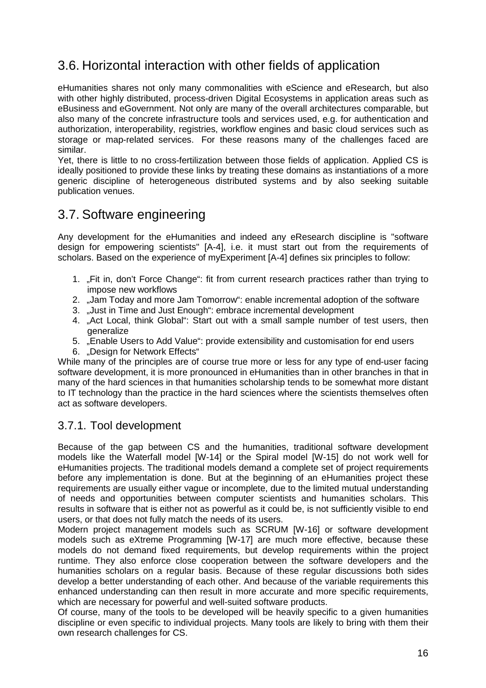## 3.6. Horizontal interaction with other fields of application

eHumanities shares not only many commonalities with eScience and eResearch, but also with other highly distributed, process-driven Digital Ecosystems in application areas such as eBusiness and eGovernment. Not only are many of the overall architectures comparable, but also many of the concrete infrastructure tools and services used, e.g. for authentication and authorization, interoperability, registries, workflow engines and basic cloud services such as storage or map-related services. For these reasons many of the challenges faced are similar.

Yet, there is little to no cross-fertilization between those fields of application. Applied CS is ideally positioned to provide these links by treating these domains as instantiations of a more generic discipline of heterogeneous distributed systems and by also seeking suitable publication venues.

## 3.7. Software engineering

Any development for the eHumanities and indeed any eResearch discipline is "software design for empowering scientists" [A-4], i.e. it must start out from the requirements of scholars. Based on the experience of myExperiment [A-4] defines six principles to follow:

- 1. "Fit in, don't Force Change": fit from current research practices rather than trying to impose new workflows
- 2. "Jam Today and more Jam Tomorrow": enable incremental adoption of the software
- 3. "Just in Time and Just Enough": embrace incremental development
- 4. "Act Local, think Global": Start out with a small sample number of test users, then generalize
- 5. "Enable Users to Add Value": provide extensibility and customisation for end users
- 6. "Design for Network Effects"

While many of the principles are of course true more or less for any type of end-user facing software development, it is more pronounced in eHumanities than in other branches in that in many of the hard sciences in that humanities scholarship tends to be somewhat more distant to IT technology than the practice in the hard sciences where the scientists themselves often act as software developers.

#### 3.7.1. Tool development

Because of the gap between CS and the humanities, traditional software development models like the Waterfall model [W-14] or the Spiral model [W-15] do not work well for eHumanities projects. The traditional models demand a complete set of project requirements before any implementation is done. But at the beginning of an eHumanities project these requirements are usually either vague or incomplete, due to the limited mutual understanding of needs and opportunities between computer scientists and humanities scholars. This results in software that is either not as powerful as it could be, is not sufficiently visible to end users, or that does not fully match the needs of its users.

Modern project management models such as SCRUM [W-16] or software development models such as eXtreme Programming [W-17] are much more effective, because these models do not demand fixed requirements, but develop requirements within the project runtime. They also enforce close cooperation between the software developers and the humanities scholars on a regular basis. Because of these regular discussions both sides develop a better understanding of each other. And because of the variable requirements this enhanced understanding can then result in more accurate and more specific requirements, which are necessary for powerful and well-suited software products.

Of course, many of the tools to be developed will be heavily specific to a given humanities discipline or even specific to individual projects. Many tools are likely to bring with them their own research challenges for CS.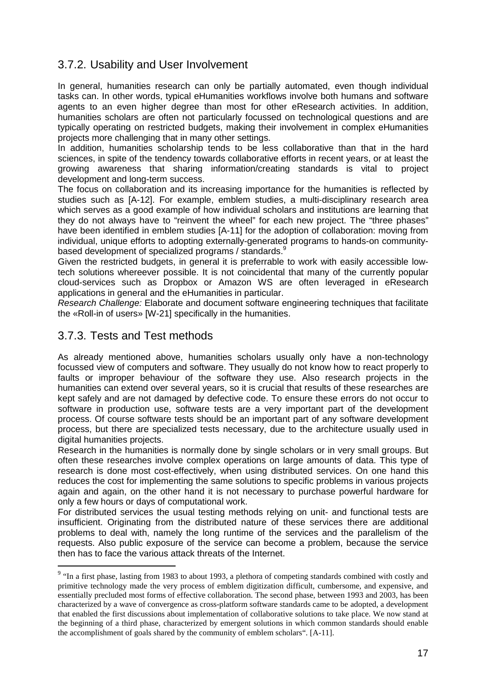#### 3.7.2. Usability and User Involvement

In general, humanities research can only be partially automated, even though individual tasks can. In other words, typical eHumanities workflows involve both humans and software agents to an even higher degree than most for other eResearch activities. In addition, humanities scholars are often not particularly focussed on technological questions and are typically operating on restricted budgets, making their involvement in complex eHumanities projects more challenging that in many other settings.

In addition, humanities scholarship tends to be less collaborative than that in the hard sciences, in spite of the tendency towards collaborative efforts in recent years, or at least the growing awareness that sharing information/creating standards is vital to project development and long-term success.

The focus on collaboration and its increasing importance for the humanities is reflected by studies such as [A-12]. For example, emblem studies, a multi-disciplinary research area which serves as a good example of how individual scholars and institutions are learning that they do not always have to "reinvent the wheel" for each new project. The "three phases" have been identified in emblem studies [A-11] for the adoption of collaboration: moving from individual, unique efforts to adopting externally-generated programs to hands-on communitybased development of specialized programs / standards.<sup>9</sup>

Given the restricted budgets, in general it is preferrable to work with easily accessible lowtech solutions whereever possible. It is not coincidental that many of the currently popular cloud-services such as Dropbox or Amazon WS are often leveraged in eResearch applications in general and the eHumanities in particular.

Research Challenge: Elaborate and document software engineering techniques that facilitate the «Roll-in of users» [W-21] specifically in the humanities.

#### 3.7.3. Tests and Test methods

 $\overline{a}$ 

As already mentioned above, humanities scholars usually only have a non-technology focussed view of computers and software. They usually do not know how to react properly to faults or improper behaviour of the software they use. Also research projects in the humanities can extend over several years, so it is crucial that results of these researches are kept safely and are not damaged by defective code. To ensure these errors do not occur to software in production use, software tests are a very important part of the development process. Of course software tests should be an important part of any software development process, but there are specialized tests necessary, due to the architecture usually used in digital humanities projects.

Research in the humanities is normally done by single scholars or in very small groups. But often these researches involve complex operations on large amounts of data. This type of research is done most cost-effectively, when using distributed services. On one hand this reduces the cost for implementing the same solutions to specific problems in various projects again and again, on the other hand it is not necessary to purchase powerful hardware for only a few hours or days of computational work.

For distributed services the usual testing methods relying on unit- and functional tests are insufficient. Originating from the distributed nature of these services there are additional problems to deal with, namely the long runtime of the services and the parallelism of the requests. Also public exposure of the service can become a problem, because the service then has to face the various attack threats of the Internet.

<sup>&</sup>lt;sup>9</sup> "In a first phase, lasting from 1983 to about 1993, a plethora of competing standards combined with costly and primitive technology made the very process of emblem digitization difficult, cumbersome, and expensive, and essentially precluded most forms of effective collaboration. The second phase, between 1993 and 2003, has been characterized by a wave of convergence as cross-platform software standards came to be adopted, a development that enabled the first discussions about implementation of collaborative solutions to take place. We now stand at the beginning of a third phase, characterized by emergent solutions in which common standards should enable the accomplishment of goals shared by the community of emblem scholars". [A-11].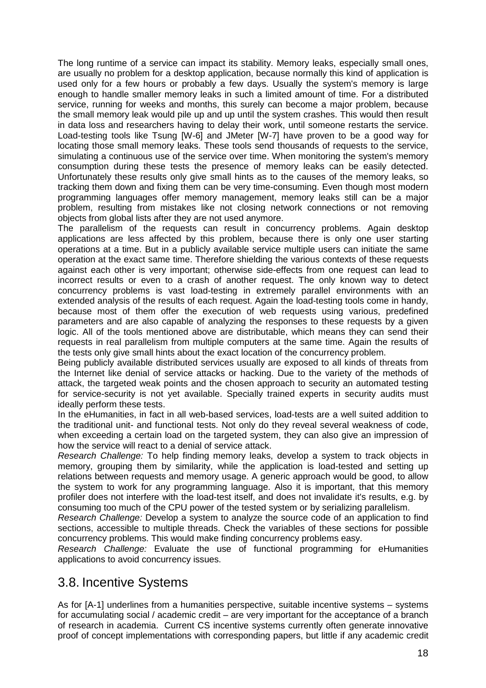The long runtime of a service can impact its stability. Memory leaks, especially small ones, are usually no problem for a desktop application, because normally this kind of application is used only for a few hours or probably a few days. Usually the system's memory is large enough to handle smaller memory leaks in such a limited amount of time. For a distributed service, running for weeks and months, this surely can become a major problem, because the small memory leak would pile up and up until the system crashes. This would then result in data loss and researchers having to delay their work, until someone restarts the service. Load-testing tools like Tsung [W-6] and JMeter [W-7] have proven to be a good way for locating those small memory leaks. These tools send thousands of requests to the service, simulating a continuous use of the service over time. When monitoring the system's memory consumption during these tests the presence of memory leaks can be easily detected. Unfortunately these results only give small hints as to the causes of the memory leaks, so tracking them down and fixing them can be very time-consuming. Even though most modern programming languages offer memory management, memory leaks still can be a major problem, resulting from mistakes like not closing network connections or not removing objects from global lists after they are not used anymore.

The parallelism of the requests can result in concurrency problems. Again desktop applications are less affected by this problem, because there is only one user starting operations at a time. But in a publicly available service multiple users can initiate the same operation at the exact same time. Therefore shielding the various contexts of these requests against each other is very important; otherwise side-effects from one request can lead to incorrect results or even to a crash of another request. The only known way to detect concurrency problems is vast load-testing in extremely parallel environments with an extended analysis of the results of each request. Again the load-testing tools come in handy, because most of them offer the execution of web requests using various, predefined parameters and are also capable of analyzing the responses to these requests by a given logic. All of the tools mentioned above are distributable, which means they can send their requests in real parallelism from multiple computers at the same time. Again the results of the tests only give small hints about the exact location of the concurrency problem.

Being publicly available distributed services usually are exposed to all kinds of threats from the Internet like denial of service attacks or hacking. Due to the variety of the methods of attack, the targeted weak points and the chosen approach to security an automated testing for service-security is not yet available. Specially trained experts in security audits must ideally perform these tests.

In the eHumanities, in fact in all web-based services, load-tests are a well suited addition to the traditional unit- and functional tests. Not only do they reveal several weakness of code, when exceeding a certain load on the targeted system, they can also give an impression of how the service will react to a denial of service attack.

Research Challenge: To help finding memory leaks, develop a system to track objects in memory, grouping them by similarity, while the application is load-tested and setting up relations between requests and memory usage. A generic approach would be good, to allow the system to work for any programming language. Also it is important, that this memory profiler does not interfere with the load-test itself, and does not invalidate it's results, e.g. by consuming too much of the CPU power of the tested system or by serializing parallelism.

Research Challenge: Develop a system to analyze the source code of an application to find sections, accessible to multiple threads. Check the variables of these sections for possible concurrency problems. This would make finding concurrency problems easy.

Research Challenge: Evaluate the use of functional programming for eHumanities applications to avoid concurrency issues.

## 3.8. Incentive Systems

As for [A-1] underlines from a humanities perspective, suitable incentive systems – systems for accumulating social / academic credit – are very important for the acceptance of a branch of research in academia. Current CS incentive systems currently often generate innovative proof of concept implementations with corresponding papers, but little if any academic credit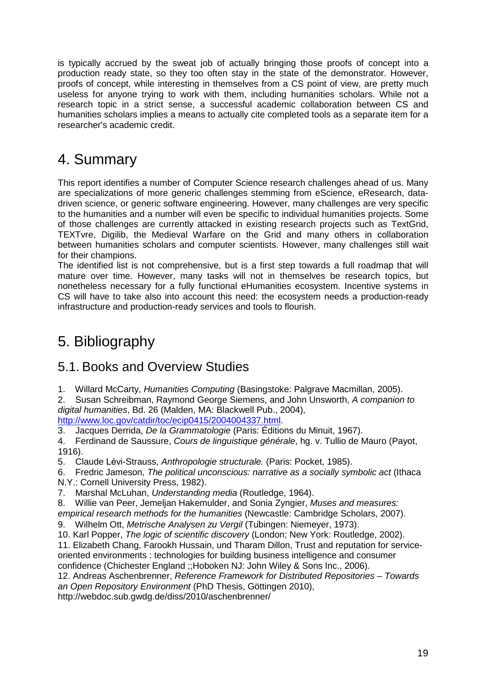is typically accrued by the sweat job of actually bringing those proofs of concept into a production ready state, so they too often stay in the state of the demonstrator. However, proofs of concept, while interesting in themselves from a CS point of view, are pretty much useless for anyone trying to work with them, including humanities scholars. While not a research topic in a strict sense, a successful academic collaboration between CS and humanities scholars implies a means to actually cite completed tools as a separate item for a researcher's academic credit.

# 4. Summary

This report identifies a number of Computer Science research challenges ahead of us. Many are specializations of more generic challenges stemming from eScience, eResearch, datadriven science, or generic software engineering. However, many challenges are very specific to the humanities and a number will even be specific to individual humanities projects. Some of those challenges are currently attacked in existing research projects such as TextGrid, TEXTvre, Digilib, the Medieval Warfare on the Grid and many others in collaboration between humanities scholars and computer scientists. However, many challenges still wait for their champions.

The identified list is not comprehensive, but is a first step towards a full roadmap that will mature over time. However, many tasks will not in themselves be research topics, but nonetheless necessary for a fully functional eHumanities ecosystem. Incentive systems in CS will have to take also into account this need: the ecosystem needs a production-ready infrastructure and production-ready services and tools to flourish.

# 5. Bibliography

## 5.1. Books and Overview Studies

1. Willard McCarty, Humanities Computing (Basingstoke: Palgrave Macmillan, 2005).

2. Susan Schreibman, Raymond George Siemens, and John Unsworth, A companion to digital humanities, Bd. 26 (Malden, MA: Blackwell Pub., 2004),

http://www.loc.gov/catdir/toc/ecip0415/2004004337.html.

3. Jacques Derrida, De la Grammatologie (Paris: Éditions du Minuit, 1967).

4. Ferdinand de Saussure, Cours de linguistique générale, hg. v. Tullio de Mauro (Payot, 1916).

5. Claude Lévi-Strauss, Anthropologie structurale. (Paris: Pocket, 1985).

6. Fredric Jameson, The political unconscious: narrative as a socially symbolic act (Ithaca

N.Y.: Cornell University Press, 1982).

7. Marshal McLuhan, Understanding media (Routledge, 1964).

8. Willie van Peer, Jemeljan Hakemulder, and Sonia Zyngier, Muses and measures:

empirical research methods for the humanities (Newcastle: Cambridge Scholars, 2007).

9. Wilhelm Ott, Metrische Analysen zu Vergil (Tubingen: Niemeyer, 1973).

10. Karl Popper, The logic of scientific discovery (London; New York: Routledge, 2002).

11. Elizabeth Chang, Farookh Hussain, und Tharam Dillon, Trust and reputation for serviceoriented environments : technologies for building business intelligence and consumer confidence (Chichester England ;;Hoboken NJ: John Wiley & Sons Inc., 2006).

12. Andreas Aschenbrenner, Reference Framework for Distributed Repositories – Towards an Open Repository Environment (PhD Thesis, Göttingen 2010),

http://webdoc.sub.gwdg.de/diss/2010/aschenbrenner/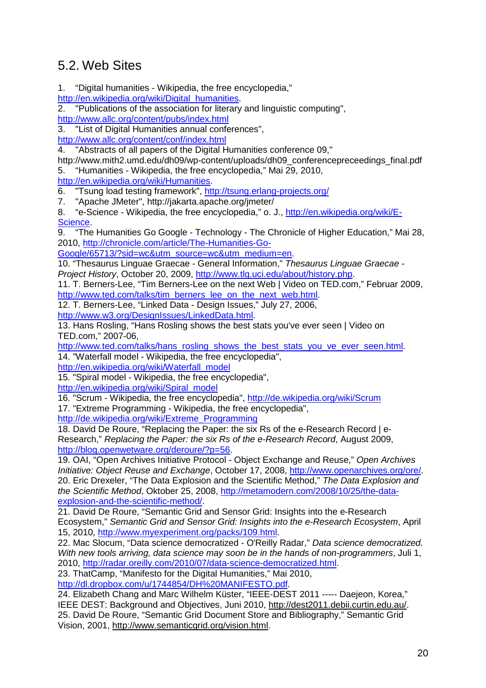## 5.2. Web Sites

1. "Digital humanities - Wikipedia, the free encyclopedia,"

http://en.wikipedia.org/wiki/Digital\_humanities.

2. "Publications of the association for literary and linguistic computing", http://www.allc.org/content/pubs/index.html

3. "List of Digital Humanities annual conferences",

http://www.allc.org/content/conf/index.html

4. "Abstracts of all papers of the Digital Humanities conference 09,"

http://www.mith2.umd.edu/dh09/wp-content/uploads/dh09\_conferencepreceedings\_final.pdf 5. "Humanities - Wikipedia, the free encyclopedia," Mai 29, 2010,

http://en.wikipedia.org/wiki/Humanities.

6. "Tsung load testing framework", http://tsung.erlang-projects.org/

7. "Apache JMeter", http://jakarta.apache.org/jmeter/

8. "e-Science - Wikipedia, the free encyclopedia," o. J., http://en.wikipedia.org/wiki/E-Science.

9. "The Humanities Go Google - Technology - The Chronicle of Higher Education," Mai 28, 2010, http://chronicle.com/article/The-Humanities-Go-

Google/65713/?sid=wc&utm\_source=wc&utm\_medium=en.

10. "Thesaurus Linguae Graecae - General Information," Thesaurus Linguae Graecae - Project History, October 20, 2009, http://www.tlg.uci.edu/about/history.php.

11. T. Berners-Lee, "Tim Berners-Lee on the next Web | Video on TED.com," Februar 2009, http://www.ted.com/talks/tim\_berners\_lee\_on\_the\_next\_web.html.

12. T. Berners-Lee, "Linked Data - Design Issues," July 27, 2006,

http://www.w3.org/DesignIssues/LinkedData.html.

13. Hans Rosling, "Hans Rosling shows the best stats you've ever seen | Video on TED.com," 2007-06,

http://www.ted.com/talks/hans\_rosling\_shows\_the\_best\_stats\_you\_ve\_ever\_seen.html. 14. "Waterfall model - Wikipedia, the free encyclopedia",

http://en.wikipedia.org/wiki/Waterfall\_model

15. "Spiral model - Wikipedia, the free encyclopedia",

http://en.wikipedia.org/wiki/Spiral\_model

16. "Scrum - Wikipedia, the free encyclopedia", http://de.wikipedia.org/wiki/Scrum

17. "Extreme Programming - Wikipedia, the free encyclopedia",

http://de.wikipedia.org/wiki/Extreme\_Programming

18. David De Roure, "Replacing the Paper: the six Rs of the e-Research Record I e-Research," Replacing the Paper: the six Rs of the e-Research Record, August 2009, http://blog.openwetware.org/deroure/?p=56.

19. OAI, "Open Archives Initiative Protocol - Object Exchange and Reuse," Open Archives Initiative: Object Reuse and Exchange, October 17, 2008, http://www.openarchives.org/ore/. 20. Eric Drexeler, "The Data Explosion and the Scientific Method," The Data Explosion and the Scientific Method, Oktober 25, 2008, http://metamodern.com/2008/10/25/the-dataexplosion-and-the-scientific-method/.

21. David De Roure, "Semantic Grid and Sensor Grid: Insights into the e-Research Ecosystem," Semantic Grid and Sensor Grid: Insights into the e-Research Ecosystem, April 15, 2010, http://www.myexperiment.org/packs/109.html.

22. Mac Slocum, "Data science democratized - O'Reilly Radar," Data science democratized. With new tools arriving, data science may soon be in the hands of non-programmers, Juli 1, 2010, http://radar.oreilly.com/2010/07/data-science-democratized.html.

23. ThatCamp, "Manifesto for the Digital Humanities," Mai 2010, http://dl.dropbox.com/u/1744854/DH%20MANIFESTO.pdf.

24. Elizabeth Chang and Marc Wilhelm Küster, "IEEE-DEST 2011 ----- Daejeon, Korea," IEEE DEST: Background and Objectives, Juni 2010, http://dest2011.debii.curtin.edu.au/. 25. David De Roure, "Semantic Grid Document Store and Bibliography," Semantic Grid Vision, 2001, http://www.semanticgrid.org/vision.html.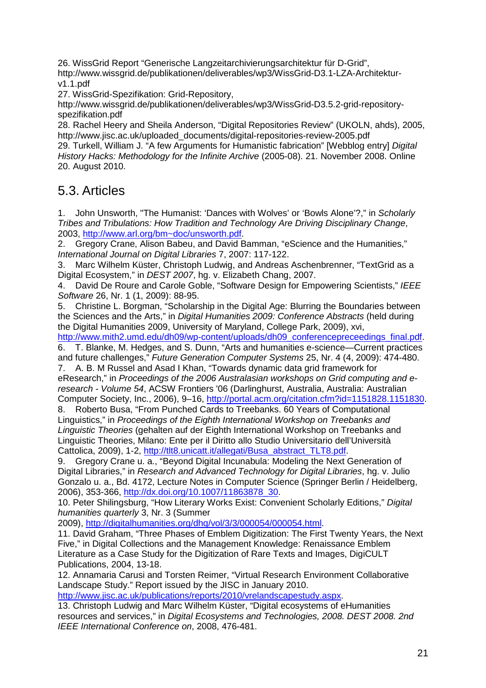26. WissGrid Report "Generische Langzeitarchivierungsarchitektur für D-Grid", http://www.wissgrid.de/publikationen/deliverables/wp3/WissGrid-D3.1-LZA-Architekturv1.1.pdf

27. WissGrid-Spezifikation: Grid-Repository,

http://www.wissgrid.de/publikationen/deliverables/wp3/WissGrid-D3.5.2-grid-repositoryspezifikation.pdf

28. Rachel Heery and Sheila Anderson, "Digital Repositories Review" (UKOLN, ahds), 2005, http://www.jisc.ac.uk/uploaded\_documents/digital-repositories-review-2005.pdf

29. Turkell, William J. "A few Arguments for Humanistic fabrication" [Webblog entry] Digital History Hacks: Methodology for the Infinite Archive (2005-08). 21. November 2008. Online 20. August 2010.

## 5.3. Articles

1. John Unsworth, "The Humanist: 'Dances with Wolves' or 'Bowls Alone'?," in Scholarly Tribes and Tribulations: How Tradition and Technology Are Driving Disciplinary Change, 2003, http://www.arl.org/bm~doc/unsworth.pdf.

2. Gregory Crane, Alison Babeu, and David Bamman, "eScience and the Humanities," International Journal on Digital Libraries 7, 2007: 117-122.

3. Marc Wilhelm Küster, Christoph Ludwig, and Andreas Aschenbrenner, "TextGrid as a Digital Ecosystem," in DEST 2007, hg. v. Elizabeth Chang, 2007.

4. David De Roure and Carole Goble, "Software Design for Empowering Scientists," IEEE Software 26, Nr. 1 (1, 2009): 88-95.

5. Christine L. Borgman, "Scholarship in the Digital Age: Blurring the Boundaries between the Sciences and the Arts," in Digital Humanities 2009: Conference Abstracts (held during the Digital Humanities 2009, University of Maryland, College Park, 2009), xvi,

http://www.mith2.umd.edu/dh09/wp-content/uploads/dh09\_conferencepreceedings\_final.pdf.

6. T. Blanke, M. Hedges, and S. Dunn, "Arts and humanities e-science—Current practices and future challenges," Future Generation Computer Systems 25, Nr. 4 (4, 2009): 474-480.

7. A. B. M Russel and Asad I Khan, "Towards dynamic data grid framework for eResearch," in Proceedings of the 2006 Australasian workshops on Grid computing and eresearch - Volume 54, ACSW Frontiers '06 (Darlinghurst, Australia, Australia: Australian Computer Society, Inc., 2006), 9–16, http://portal.acm.org/citation.cfm?id=1151828.1151830.

8. Roberto Busa, "From Punched Cards to Treebanks. 60 Years of Computational Linguistics," in Proceedings of the Eighth International Workshop on Treebanks and Linguistic Theories (gehalten auf der Eighth International Workshop on Treebanks and Linguistic Theories, Milano: Ente per il Diritto allo Studio Universitario dell'Università Cattolica, 2009), 1-2, http://tlt8.unicatt.it/allegati/Busa\_abstract\_TLT8.pdf.

9. Gregory Crane u. a., "Beyond Digital Incunabula: Modeling the Next Generation of Digital Libraries," in Research and Advanced Technology for Digital Libraries, hg. v. Julio Gonzalo u. a., Bd. 4172, Lecture Notes in Computer Science (Springer Berlin / Heidelberg, 2006), 353-366, http://dx.doi.org/10.1007/11863878\_30.

10. Peter Shilingsburg, "How Literary Works Exist: Convenient Scholarly Editions," Digital humanities quarterly 3, Nr. 3 (Summer

2009), http://digitalhumanities.org/dhq/vol/3/3/000054/000054.html.

11. David Graham, "Three Phases of Emblem Digitization: The First Twenty Years, the Next Five," in Digital Collections and the Management Knowledge: Renaissance Emblem Literature as a Case Study for the Digitization of Rare Texts and Images, DigiCULT Publications, 2004, 13-18.

12. Annamaria Carusi and Torsten Reimer, "Virtual Research Environment Collaborative Landscape Study." Report issued by the JISC in January 2010.

http://www.jisc.ac.uk/publications/reports/2010/vrelandscapestudy.aspx.

13. Christoph Ludwig and Marc Wilhelm Küster, "Digital ecosystems of eHumanities resources and services," in Digital Ecosystems and Technologies, 2008. DEST 2008. 2nd IEEE International Conference on, 2008, 476-481.